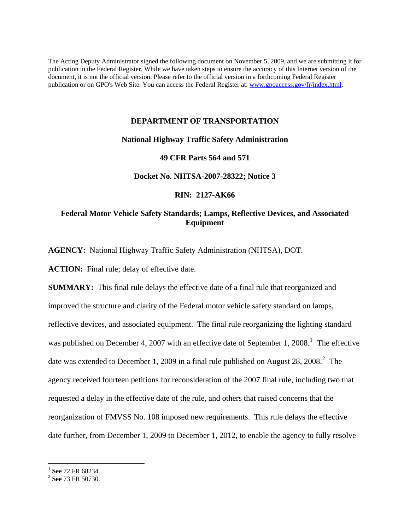The Acting Deputy Administrator signed the following document on November 5, 2009, and we are submitting it for publication in the Federal Register. While we have taken steps to ensure the accuracy of this Internet version of the document, it is not the official version. Please refer to the official version in a forthcoming Federal Register publication or on GPO's Web Site. You can access the Federal Register at: www.gpoaccess.gov/fr/index.html.

# **DEPARTMENT OF TRANSPORTATION**

# **National Highway Traffic Safety Administration**

# **49 CFR Parts 564 and 571**

# **Docket No. NHTSA-2007-28322; Notice 3**

# **RIN: 2127-AK66**

# **Federal Motor Vehicle Safety Standards; Lamps, Reflective Devices, and Associated Equipment**

**AGENCY:** National Highway Traffic Safety Administration (NHTSA), DOT.

ACTION: Final rule; delay of effective date.

**SUMMARY:** This final rule delays the effective date of a final rule that reorganized and improved the structure and clarity of the Federal motor vehicle safety standard on lamps, reflective devices, and associated equipment. The final rule reorganizing the lighting standard was published on December 4, 2007 with an effective date of September [1](#page-0-0), 2008.<sup>1</sup> The effective date was extended to December 1, [2](#page-0-1)009 in a final rule published on August 28, 2008.<sup>2</sup> The agency received fourteen petitions for reconsideration of the 2007 final rule, including two that requested a delay in the effective date of the rule, and others that raised concerns that the reorganization of FMVSS No. 108 imposed new requirements. This rule delays the effective date further, from December 1, 2009 to December 1, 2012, to enable the agency to fully resolve

 $\overline{a}$ 

<span id="page-0-1"></span><span id="page-0-0"></span><sup>&</sup>lt;sup>1</sup> See 72 FR 68234.<br><sup>2</sup> See 73 FR 50730.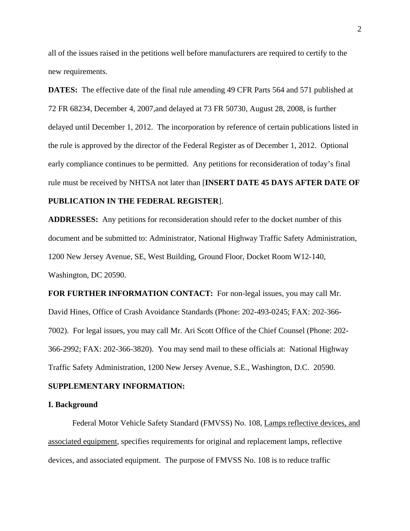all of the issues raised in the petitions well before manufacturers are required to certify to the new requirements.

**DATES:** The effective date of the final rule amending 49 CFR Parts 564 and 571 published at 72 FR 68234, December 4, 2007,and delayed at 73 FR 50730, August 28, 2008, is further delayed until December 1, 2012. The incorporation by reference of certain publications listed in the rule is approved by the director of the Federal Register as of December 1, 2012. Optional early compliance continues to be permitted. Any petitions for reconsideration of today's final rule must be received by NHTSA not later than [**INSERT DATE 45 DAYS AFTER DATE OF** 

# **PUBLICATION IN THE FEDERAL REGISTER**].

**ADDRESSES:** Any petitions for reconsideration should refer to the docket number of this document and be submitted to: Administrator, National Highway Traffic Safety Administration, 1200 New Jersey Avenue, SE, West Building, Ground Floor, Docket Room W12-140, Washington, DC 20590.

**FOR FURTHER INFORMATION CONTACT:** For non-legal issues, you may call Mr. David Hines, Office of Crash Avoidance Standards (Phone: 202-493-0245; FAX: 202-366- 7002). For legal issues, you may call Mr. Ari Scott Office of the Chief Counsel (Phone: 202- 366-2992; FAX: 202-366-3820). You may send mail to these officials at: National Highway Traffic Safety Administration, 1200 New Jersey Avenue, S.E., Washington, D.C. 20590.

#### **SUPPLEMENTARY INFORMATION:**

#### **I. Background**

Federal Motor Vehicle Safety Standard (FMVSS) No. 108, Lamps reflective devices, and associated equipment, specifies requirements for original and replacement lamps, reflective devices, and associated equipment. The purpose of FMVSS No. 108 is to reduce traffic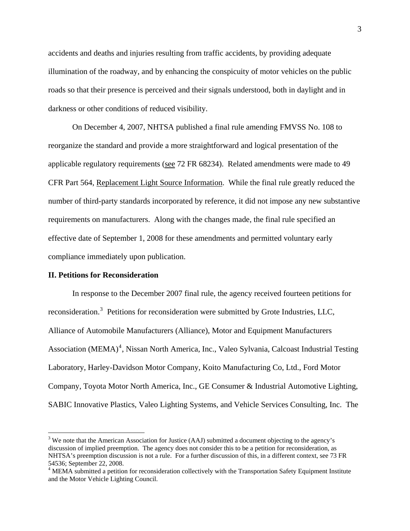accidents and deaths and injuries resulting from traffic accidents, by providing adequate illumination of the roadway, and by enhancing the conspicuity of motor vehicles on the public roads so that their presence is perceived and their signals understood, both in daylight and in darkness or other conditions of reduced visibility.

On December 4, 2007, NHTSA published a final rule amending FMVSS No. 108 to reorganize the standard and provide a more straightforward and logical presentation of the applicable regulatory requirements (see 72 FR 68234). Related amendments were made to 49 CFR Part 564, Replacement Light Source Information. While the final rule greatly reduced the number of third-party standards incorporated by reference, it did not impose any new substantive requirements on manufacturers. Along with the changes made, the final rule specified an effective date of September 1, 2008 for these amendments and permitted voluntary early compliance immediately upon publication.

#### **II. Petitions for Reconsideration**

1

In response to the December 2007 final rule, the agency received fourteen petitions for reconsideration.<sup>[3](#page-2-0)</sup> Petitions for reconsideration were submitted by Grote Industries, LLC, Alliance of Automobile Manufacturers (Alliance), Motor and Equipment Manufacturers Association (MEMA)<sup>[4](#page-2-1)</sup>, Nissan North America, Inc., Valeo Sylvania, Calcoast Industrial Testing Laboratory, Harley-Davidson Motor Company, Koito Manufacturing Co, Ltd., Ford Motor Company, Toyota Motor North America, Inc., GE Consumer & Industrial Automotive Lighting, SABIC Innovative Plastics, Valeo Lighting Systems, and Vehicle Services Consulting, Inc. The

<span id="page-2-0"></span> $3$  We note that the American Association for Justice (AAJ) submitted a document objecting to the agency's discussion of implied preemption. The agency does not consider this to be a petition for reconsideration, as NHTSA's preemption discussion is not a rule. For a further discussion of this, in a different context, see 73 FR 54536; September 22, 2008.

<span id="page-2-1"></span><sup>&</sup>lt;sup>4</sup> MEMA submitted a petition for reconsideration collectively with the Transportation Safety Equipment Institute and the Motor Vehicle Lighting Council.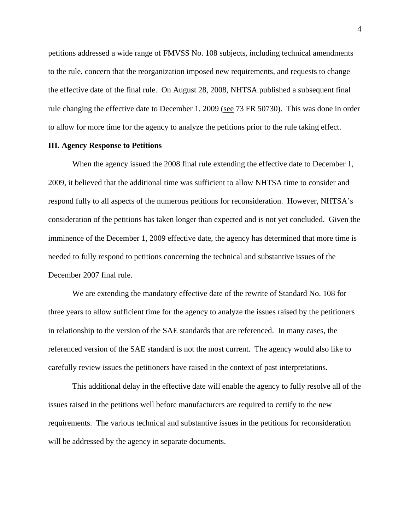petitions addressed a wide range of FMVSS No. 108 subjects, including technical amendments to the rule, concern that the reorganization imposed new requirements, and requests to change the effective date of the final rule. On August 28, 2008, NHTSA published a subsequent final rule changing the effective date to December 1, 2009 (see 73 FR 50730). This was done in order to allow for more time for the agency to analyze the petitions prior to the rule taking effect.

# **III. Agency Response to Petitions**

When the agency issued the 2008 final rule extending the effective date to December 1, 2009, it believed that the additional time was sufficient to allow NHTSA time to consider and respond fully to all aspects of the numerous petitions for reconsideration. However, NHTSA's consideration of the petitions has taken longer than expected and is not yet concluded. Given the imminence of the December 1, 2009 effective date, the agency has determined that more time is needed to fully respond to petitions concerning the technical and substantive issues of the December 2007 final rule.

We are extending the mandatory effective date of the rewrite of Standard No. 108 for three years to allow sufficient time for the agency to analyze the issues raised by the petitioners in relationship to the version of the SAE standards that are referenced. In many cases, the referenced version of the SAE standard is not the most current. The agency would also like to carefully review issues the petitioners have raised in the context of past interpretations.

 This additional delay in the effective date will enable the agency to fully resolve all of the issues raised in the petitions well before manufacturers are required to certify to the new requirements. The various technical and substantive issues in the petitions for reconsideration will be addressed by the agency in separate documents.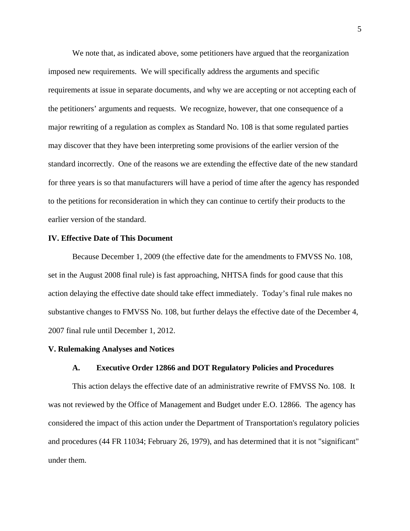We note that, as indicated above, some petitioners have argued that the reorganization imposed new requirements. We will specifically address the arguments and specific requirements at issue in separate documents, and why we are accepting or not accepting each of the petitioners' arguments and requests. We recognize, however, that one consequence of a major rewriting of a regulation as complex as Standard No. 108 is that some regulated parties may discover that they have been interpreting some provisions of the earlier version of the standard incorrectly. One of the reasons we are extending the effective date of the new standard for three years is so that manufacturers will have a period of time after the agency has responded to the petitions for reconsideration in which they can continue to certify their products to the earlier version of the standard.

#### **IV. Effective Date of This Document**

Because December 1, 2009 (the effective date for the amendments to FMVSS No. 108, set in the August 2008 final rule) is fast approaching, NHTSA finds for good cause that this action delaying the effective date should take effect immediately. Today's final rule makes no substantive changes to FMVSS No. 108, but further delays the effective date of the December 4, 2007 final rule until December 1, 2012.

# **V. Rulemaking Analyses and Notices**

#### **A. Executive Order 12866 and DOT Regulatory Policies and Procedures**

This action delays the effective date of an administrative rewrite of FMVSS No. 108. It was not reviewed by the Office of Management and Budget under E.O. 12866. The agency has considered the impact of this action under the Department of Transportation's regulatory policies and procedures (44 FR 11034; February 26, 1979), and has determined that it is not "significant" under them.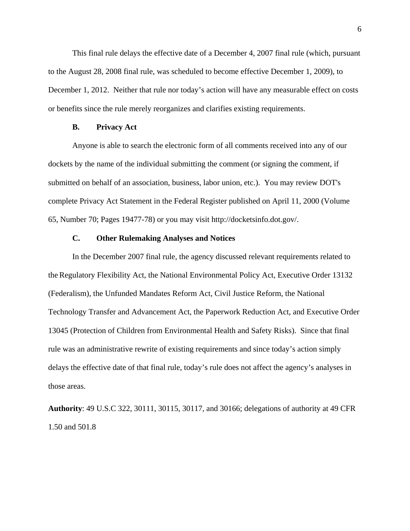This final rule delays the effective date of a December 4, 2007 final rule (which, pursuant to the August 28, 2008 final rule, was scheduled to become effective December 1, 2009), to December 1, 2012. Neither that rule nor today's action will have any measurable effect on costs or benefits since the rule merely reorganizes and clarifies existing requirements.

# **B. Privacy Act**

Anyone is able to search the electronic form of all comments received into any of our dockets by the name of the individual submitting the comment (or signing the comment, if submitted on behalf of an association, business, labor union, etc.). You may review DOT's complete Privacy Act Statement in the Federal Register published on April 11, 2000 (Volume 65, Number 70; Pages 19477-78) or you may visit http://docketsinfo.dot.gov/.

# **C. Other Rulemaking Analyses and Notices**

 In the December 2007 final rule, the agency discussed relevant requirements related to theRegulatory Flexibility Act, the National Environmental Policy Act, Executive Order 13132 (Federalism), the Unfunded Mandates Reform Act, Civil Justice Reform, the National Technology Transfer and Advancement Act, the Paperwork Reduction Act, and Executive Order 13045 (Protection of Children from Environmental Health and Safety Risks). Since that final rule was an administrative rewrite of existing requirements and since today's action simply delays the effective date of that final rule, today's rule does not affect the agency's analyses in those areas.

**Authority**: 49 U.S.C 322, 30111, 30115, 30117, and 30166; delegations of authority at 49 CFR 1.50 and 501.8